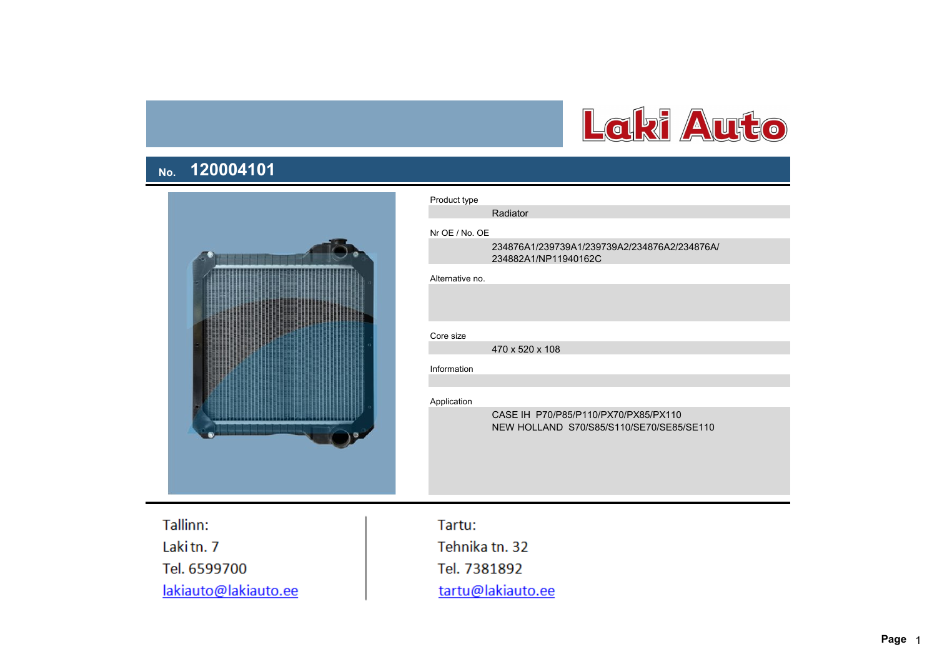

|                      | Product type                                                                     |
|----------------------|----------------------------------------------------------------------------------|
|                      | Radiator                                                                         |
|                      | Nr OE / No. OE                                                                   |
|                      | 234876A1/239739A1/239739A2/234876A2/234876A/<br>234882A1/NP11940162C             |
|                      | Alternative no.                                                                  |
|                      | Core size                                                                        |
|                      | 470 x 520 x 108                                                                  |
|                      | Information                                                                      |
|                      |                                                                                  |
|                      | Application                                                                      |
|                      | CASE IH P70/P85/P110/PX70/PX85/PX110<br>NEW HOLLAND S70/S85/S110/SE70/SE85/SE110 |
| Tallinn:             | Tartu:                                                                           |
| Lakitn. 7            | Tehnika tn. 32                                                                   |
| Tel. 6599700         | Tel. 7381892                                                                     |
| lakiauto@lakiauto.ee | tartu@lakiauto.ee                                                                |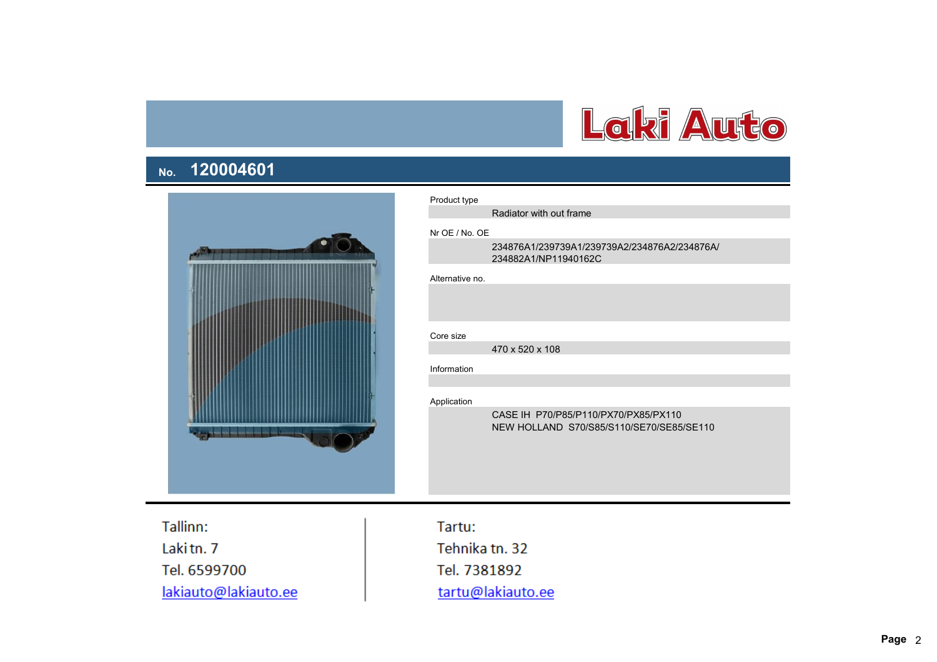

| Product type    |                                                                                  |
|-----------------|----------------------------------------------------------------------------------|
|                 | Radiator with out frame                                                          |
| Nr OE / No. OE  |                                                                                  |
|                 | 234876A1/239739A1/239739A2/234876A2/234876A/<br>234882A1/NP11940162C             |
| Alternative no. |                                                                                  |
|                 |                                                                                  |
| Core size       |                                                                                  |
|                 | 470 x 520 x 108                                                                  |
| Information     |                                                                                  |
|                 |                                                                                  |
| Application     |                                                                                  |
|                 | CASE IH P70/P85/P110/PX70/PX85/PX110<br>NEW HOLLAND S70/S85/S110/SE70/SE85/SE110 |

Tallinn: Lakitn. 7 Tel. 6599700 lakiauto@lakiauto.ee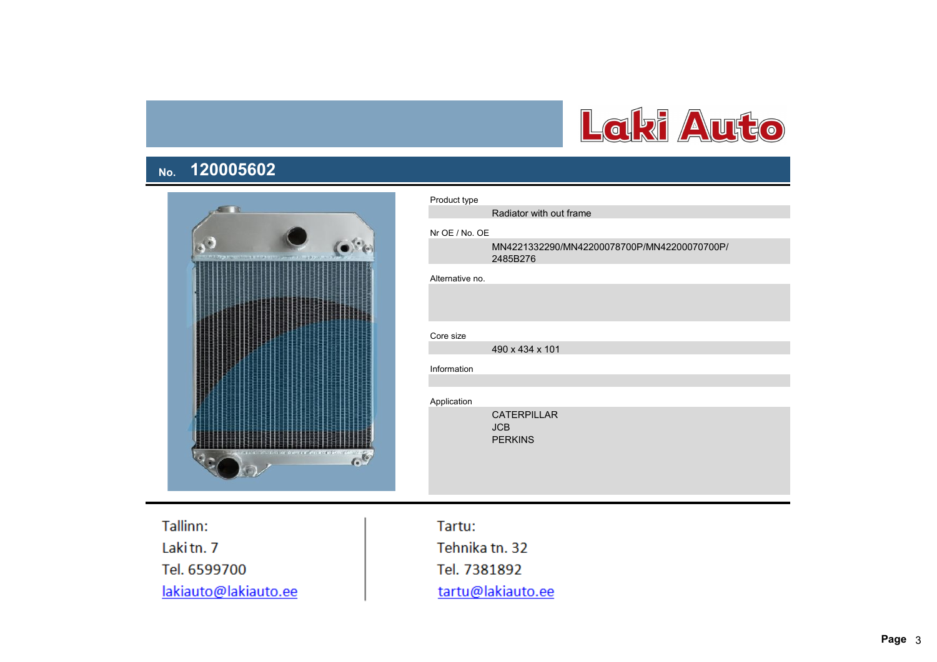



| Product type    |                                                         |
|-----------------|---------------------------------------------------------|
|                 | Radiator with out frame                                 |
| Nr OE / No. OE  |                                                         |
|                 | MN4221332290/MN42200078700P/MN42200070700P/<br>2485B276 |
| Alternative no. |                                                         |
|                 |                                                         |
|                 |                                                         |
|                 |                                                         |
| Core size       | 490 x 434 x 101                                         |
| Information     |                                                         |
|                 |                                                         |
| Application     |                                                         |
|                 | <b>CATERPILLAR</b><br><b>JCB</b><br><b>PERKINS</b>      |

Tallinn: Lakitn. 7 Tel. 6599700 lakiauto@lakiauto.ee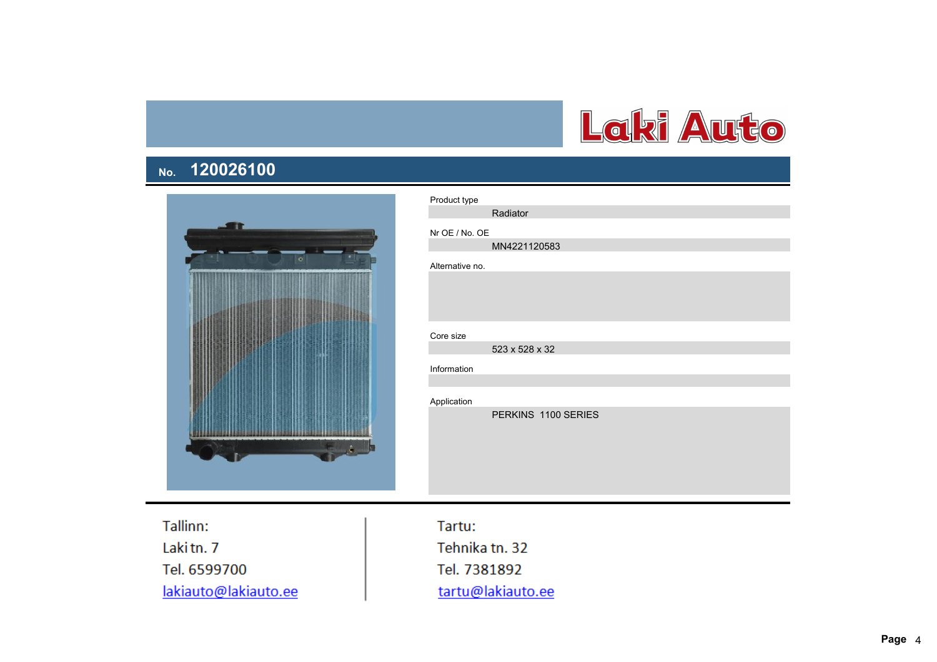



| Product type    |                     |
|-----------------|---------------------|
|                 | Radiator            |
| Nr OE / No. OE  |                     |
|                 | MN4221120583        |
| Alternative no. |                     |
|                 |                     |
| Core size       | 523 x 528 x 32      |
| Information     |                     |
|                 |                     |
| Application     |                     |
|                 | PERKINS 1100 SERIES |

Tallinn: Lakitn. 7 Tel. 6599700 lakiauto@lakiauto.ee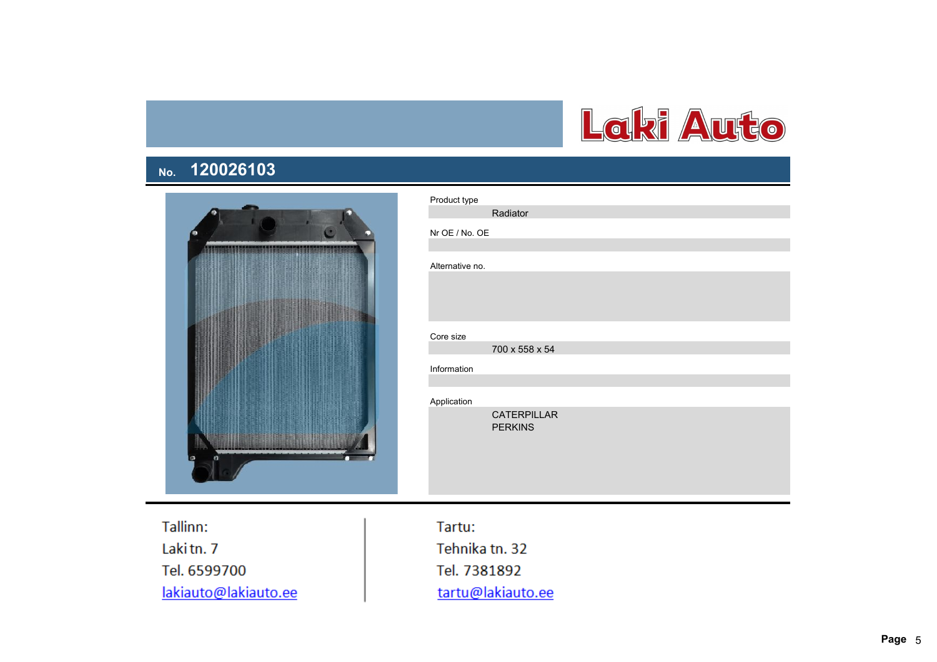



| Product type    |                                      |
|-----------------|--------------------------------------|
|                 | Radiator                             |
| Nr OE / No. OE  |                                      |
| Alternative no. |                                      |
|                 |                                      |
|                 |                                      |
|                 |                                      |
|                 |                                      |
|                 |                                      |
| Core size       |                                      |
|                 | 700 x 558 x 54                       |
| Information     |                                      |
|                 |                                      |
|                 |                                      |
| Application     |                                      |
|                 | <b>CATERPILLAR</b><br><b>PERKINS</b> |
|                 |                                      |
|                 |                                      |
|                 |                                      |

Tallinn: Lakitn. 7 Tel. 6599700 lakiauto@lakiauto.ee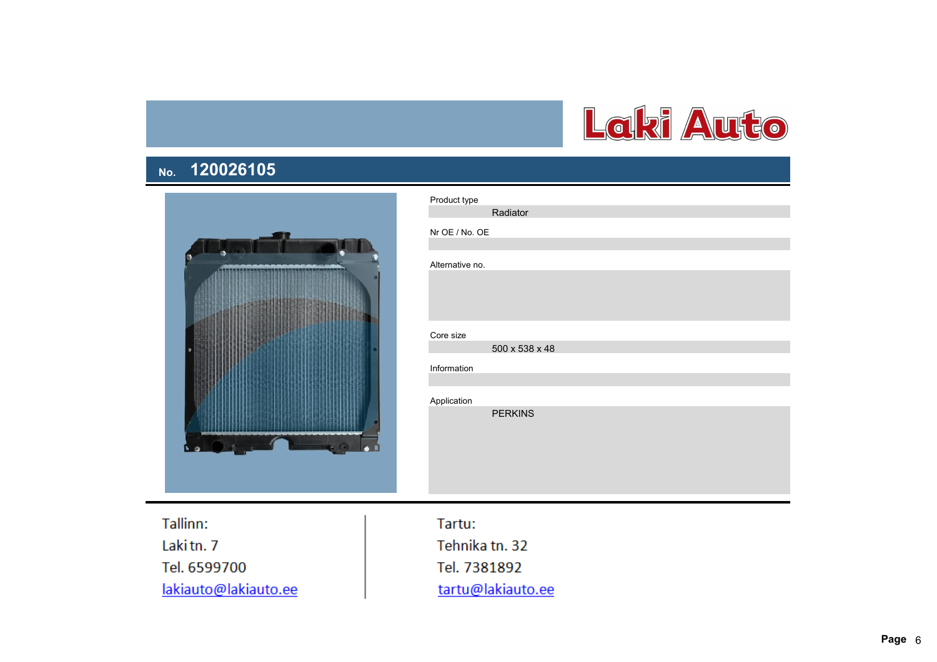



| Product type    |                |
|-----------------|----------------|
|                 | Radiator       |
| Nr OE / No. OE  |                |
|                 |                |
| Alternative no. |                |
|                 |                |
|                 |                |
|                 |                |
| Core size       |                |
|                 | 500 x 538 x 48 |
| Information     |                |
|                 |                |
| Application     |                |
|                 | <b>PERKINS</b> |
|                 |                |
|                 |                |
|                 |                |
|                 |                |
|                 |                |

Tallinn: Lakitn. 7 Tel. 6599700 lakiauto@lakiauto.ee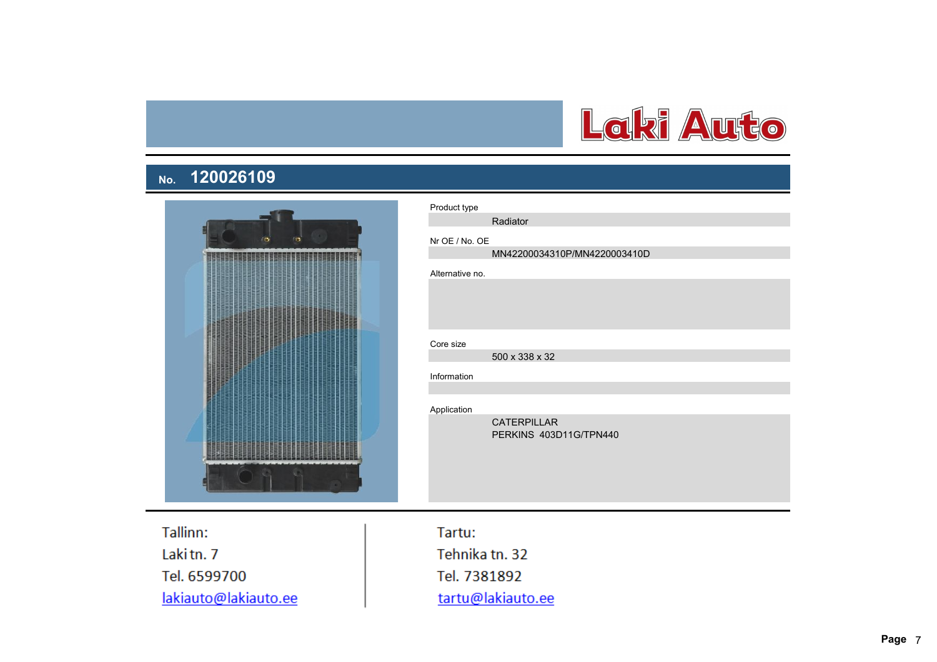



| Product type    |                              |
|-----------------|------------------------------|
|                 | Radiator                     |
| Nr OE / No. OE  |                              |
|                 | MN42200034310P/MN4220003410D |
| Alternative no. |                              |
|                 |                              |
|                 |                              |
|                 |                              |
| Core size       |                              |
|                 | 500 x 338 x 32               |
| Information     |                              |
|                 |                              |
| Application     |                              |
|                 | <b>CATERPILLAR</b>           |
|                 | PERKINS 403D11G/TPN440       |
|                 |                              |
|                 |                              |
|                 |                              |

Tallinn: Lakitn. 7 Tel. 6599700 lakiauto@lakiauto.ee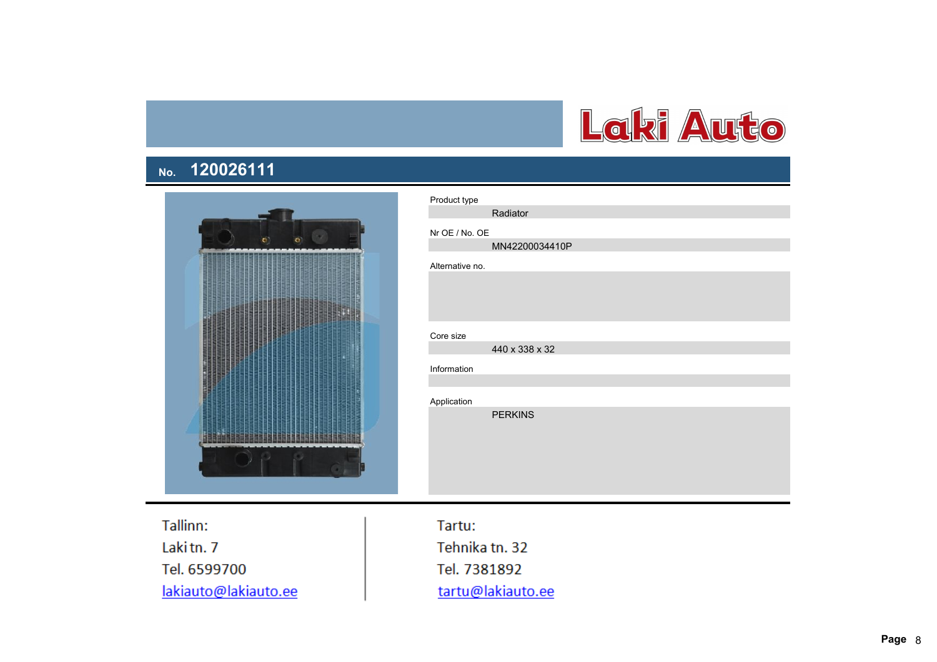



| Product type<br>Radiator<br>Nr OE / No. OE<br>MN42200034410P<br>Alternative no.<br>Core size<br>440 x 338 x 32<br>Information<br>Application<br><b>PERKINS</b> |
|----------------------------------------------------------------------------------------------------------------------------------------------------------------|
|                                                                                                                                                                |
|                                                                                                                                                                |
|                                                                                                                                                                |
|                                                                                                                                                                |
|                                                                                                                                                                |
|                                                                                                                                                                |
|                                                                                                                                                                |
|                                                                                                                                                                |
|                                                                                                                                                                |
|                                                                                                                                                                |
|                                                                                                                                                                |

Tallinn: Lakitn. 7 Tel. 6599700 lakiauto@lakiauto.ee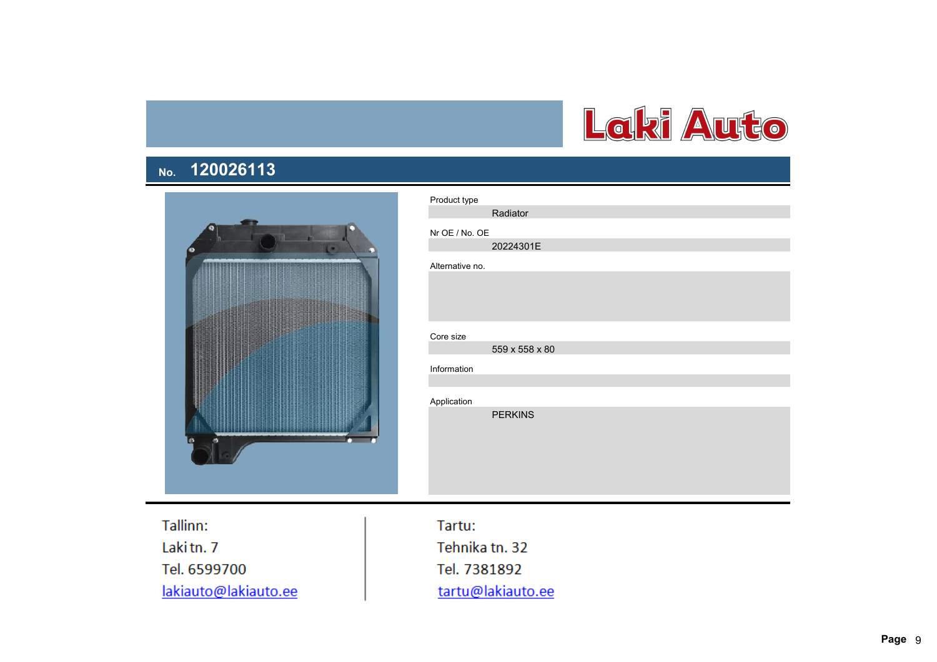

| n |                                                                                                                                                                                                                                                                                              |   |                                                                                      |
|---|----------------------------------------------------------------------------------------------------------------------------------------------------------------------------------------------------------------------------------------------------------------------------------------------|---|--------------------------------------------------------------------------------------|
|   | <b><i><u>Property States In the States In the States In the States In the States In the States In the States In the States In the States In the States In the States In the States In the States In the States In the States In the </u></i></b><br><b>The Company's Company's Company's</b> |   | <b>医皮肤病的 医皮肤病的 医皮肤病的 医皮肤病的 医皮肤病的 医皮肤病的 医皮肤病的 医皮肤病的 医皮肤病的 医皮肤病的 医皮肤病的 医皮肤病的 医皮肤病的</b> |
|   | <b>COMMUNISTICS</b>                                                                                                                                                                                                                                                                          |   |                                                                                      |
|   |                                                                                                                                                                                                                                                                                              |   |                                                                                      |
|   |                                                                                                                                                                                                                                                                                              |   | <b>START COMMUNISTICS</b>                                                            |
|   |                                                                                                                                                                                                                                                                                              | E |                                                                                      |
|   |                                                                                                                                                                                                                                                                                              |   |                                                                                      |

| Product type    |                |
|-----------------|----------------|
|                 | Radiator       |
| Nr OE / No. OE  |                |
|                 | 20224301E      |
| Alternative no. |                |
|                 |                |
|                 |                |
|                 |                |
| Core size       |                |
|                 | 559 x 558 x 80 |
| Information     |                |
|                 |                |
| Application     |                |
|                 | <b>PERKINS</b> |
|                 |                |
|                 |                |
|                 |                |
|                 |                |
|                 |                |

Tallinn: Lakitn. 7 Tel. 6599700 lakiauto@lakiauto.ee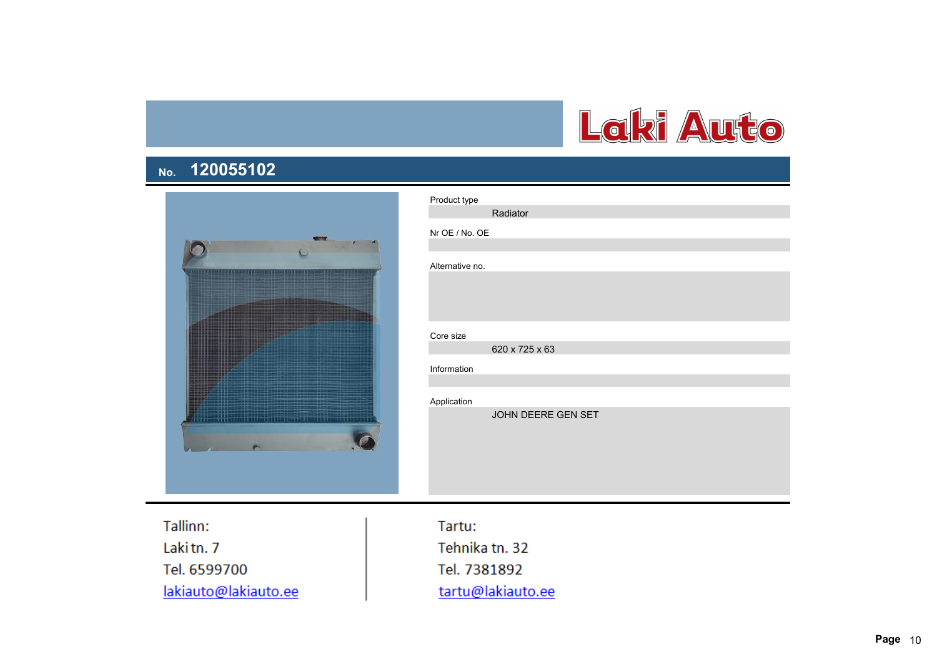



| Product type    |                    |
|-----------------|--------------------|
|                 | Radiator           |
| Nr OE / No. OE  |                    |
|                 |                    |
| Alternative no. |                    |
|                 |                    |
|                 |                    |
|                 |                    |
| Core size       |                    |
|                 | 620 x 725 x 63     |
| Information     |                    |
|                 |                    |
| Application     |                    |
|                 | JOHN DEERE GEN SET |
|                 |                    |
|                 |                    |
|                 |                    |
|                 |                    |
|                 |                    |

Tallinn: Lakitn. 7 Tel. 6599700 lakiauto@lakiauto.ee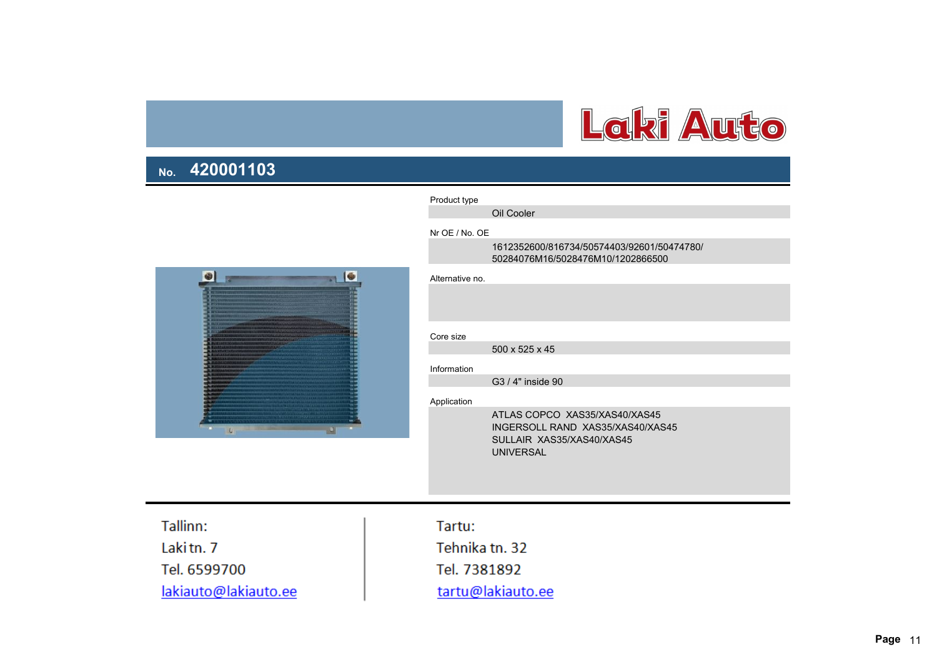



#### 500 x 525 x 45 G3 / 4" inside 90 ATLAS COPCO XAS35/XAS40/XAS45 UNIVERSAL 1612352600/816734/50574403/92601/50474780/ 50284076M16/5028476M10/1202866500 INGERSOLL RAND XAS35/XAS40/XAS45 SULLAIR XAS35/XAS40/XAS45 Alternative no. Core size Information Application

Tallinn: Lakitn, 7 Tel. 6599700 lakiauto@lakiauto.ee Tartu: Tehnika tn. 32 Tel. 7381892 tartu@lakiauto.ee

Nr OE / No. OE

Oil Cooler

Product type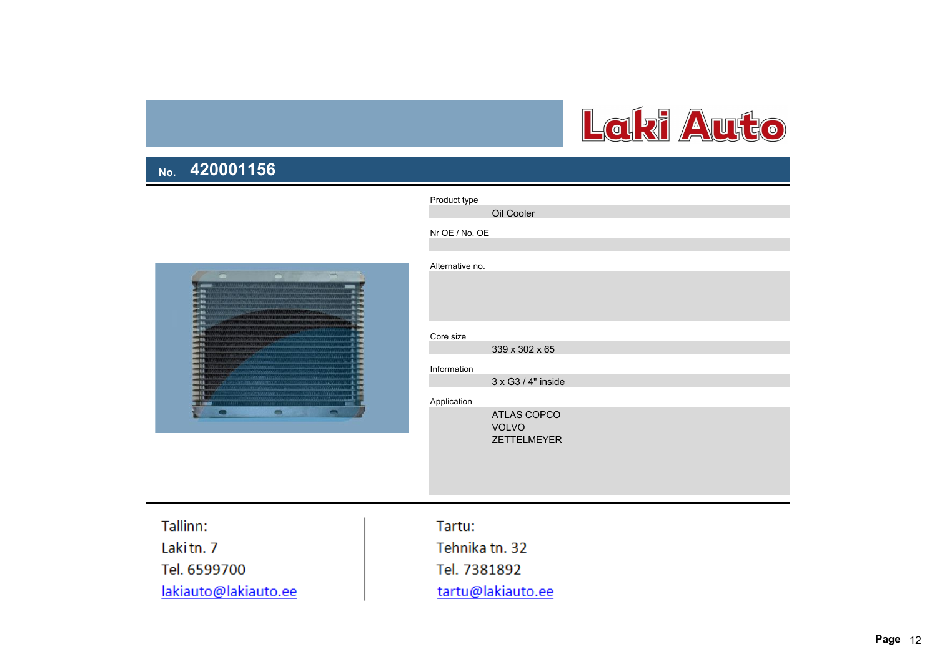

#### Product type

Oil Cooler

Nr OE / No. OE



| Alternative no.<br>Core size<br>339 x 302 x 65<br>Information<br>3 x G3 / 4" inside<br>Application<br>ATLAS COPCO<br><b>VOLVO</b><br>ZETTELMEYER |  |
|--------------------------------------------------------------------------------------------------------------------------------------------------|--|
|                                                                                                                                                  |  |
|                                                                                                                                                  |  |
|                                                                                                                                                  |  |
|                                                                                                                                                  |  |
|                                                                                                                                                  |  |
|                                                                                                                                                  |  |
|                                                                                                                                                  |  |
|                                                                                                                                                  |  |
|                                                                                                                                                  |  |
|                                                                                                                                                  |  |
|                                                                                                                                                  |  |
|                                                                                                                                                  |  |
|                                                                                                                                                  |  |
|                                                                                                                                                  |  |
|                                                                                                                                                  |  |
|                                                                                                                                                  |  |
|                                                                                                                                                  |  |

Tallinn: Lakitn. 7 Tel. 6599700 lakiauto@lakiauto.ee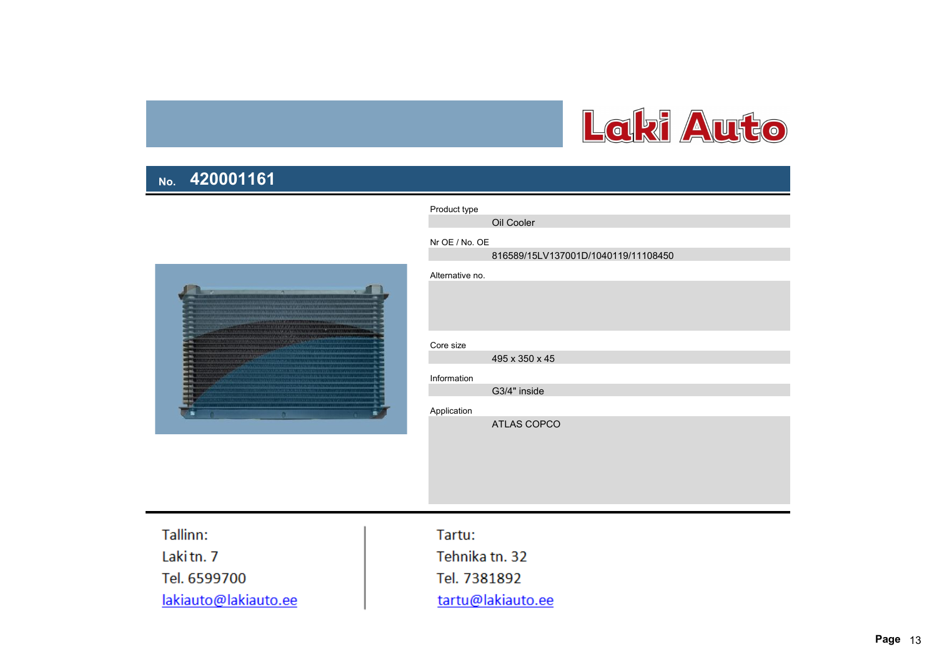



|                 | Oil Cooler                          |
|-----------------|-------------------------------------|
| Nr OE / No. OE  |                                     |
|                 | 816589/15LV137001D/1040119/11108450 |
| Alternative no. |                                     |
|                 |                                     |
|                 |                                     |
|                 |                                     |
| Core size       |                                     |
|                 | 495 x 350 x 45                      |
| Information     |                                     |
|                 | G3/4" inside                        |
|                 |                                     |
| Application     | <b>ATLAS COPCO</b>                  |
|                 |                                     |
|                 |                                     |

Tallinn: Lakitn. 7 Tel. 6599700 lakiauto@lakiauto.ee Tartu: Tehnika tn. 32 Tel. 7381892 tartu@lakiauto.ee

Product type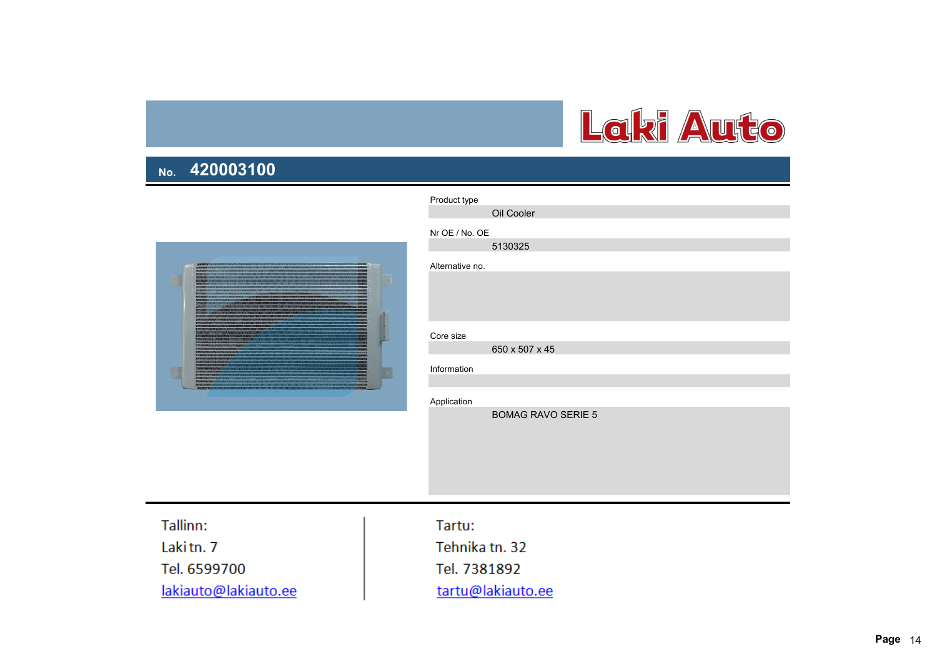

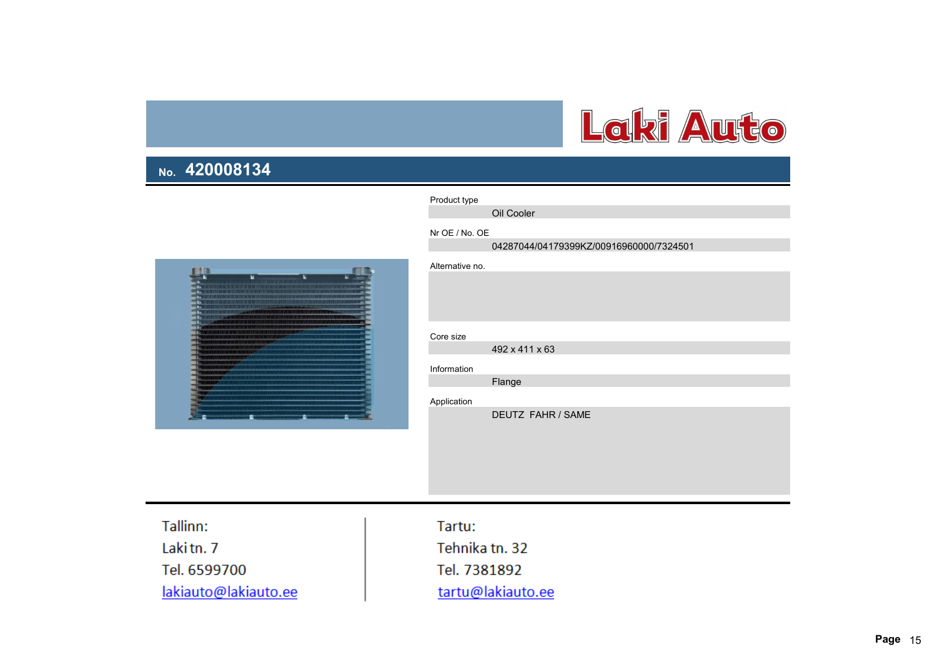

Product type

Nr OE / No. OE

Oil Cooler

山

|                 | 04287044/04179399KZ/00916960000/7324501 |
|-----------------|-----------------------------------------|
| Alternative no. |                                         |
|                 |                                         |
|                 |                                         |
|                 |                                         |
| Core size       |                                         |
|                 | 492 x 411 x 63                          |
| Information     |                                         |
|                 | Flange                                  |
| Application     |                                         |
|                 | <b>DEUTZ FAHR / SAME</b>                |
|                 |                                         |
|                 |                                         |
|                 |                                         |

Tallinn: Lakitn. 7 Tel. 6599700 lakiauto@lakiauto.ee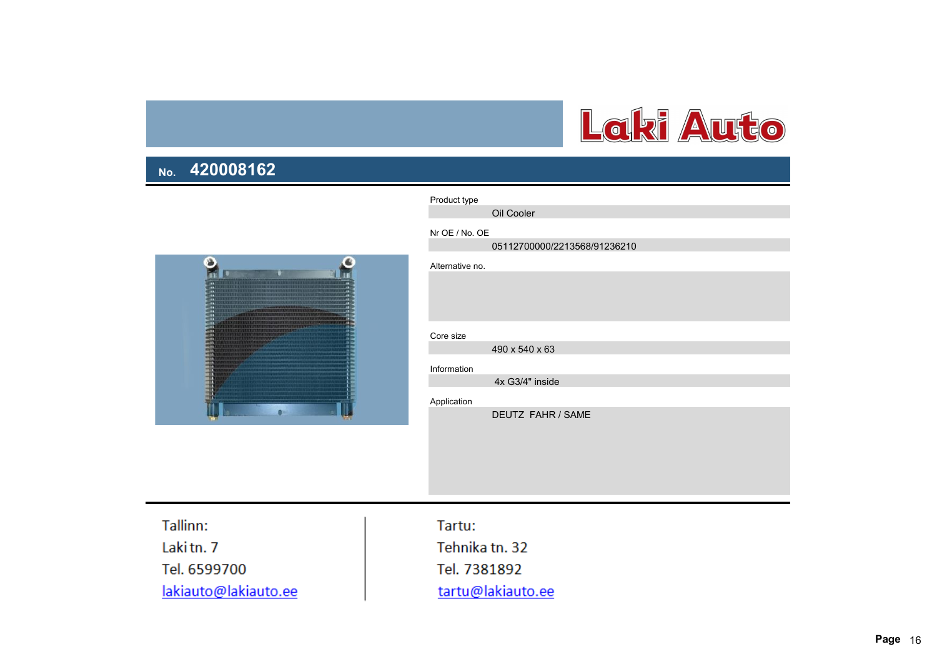

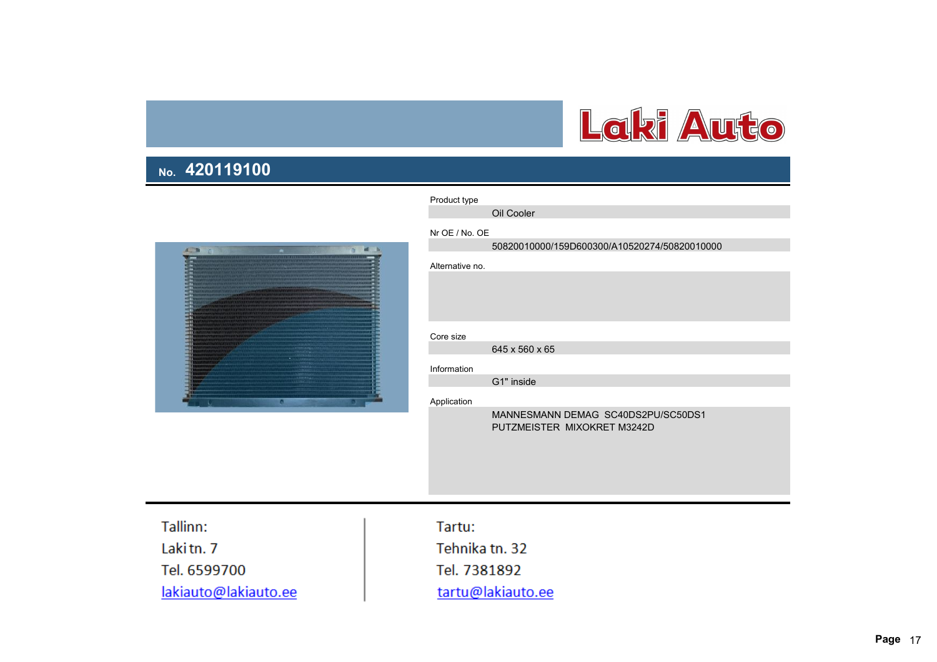

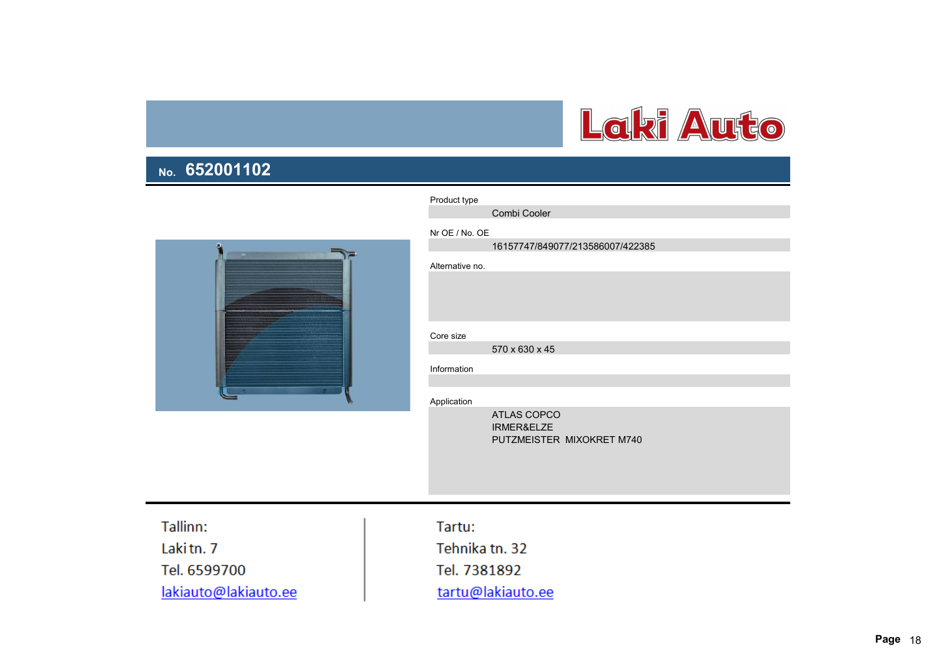

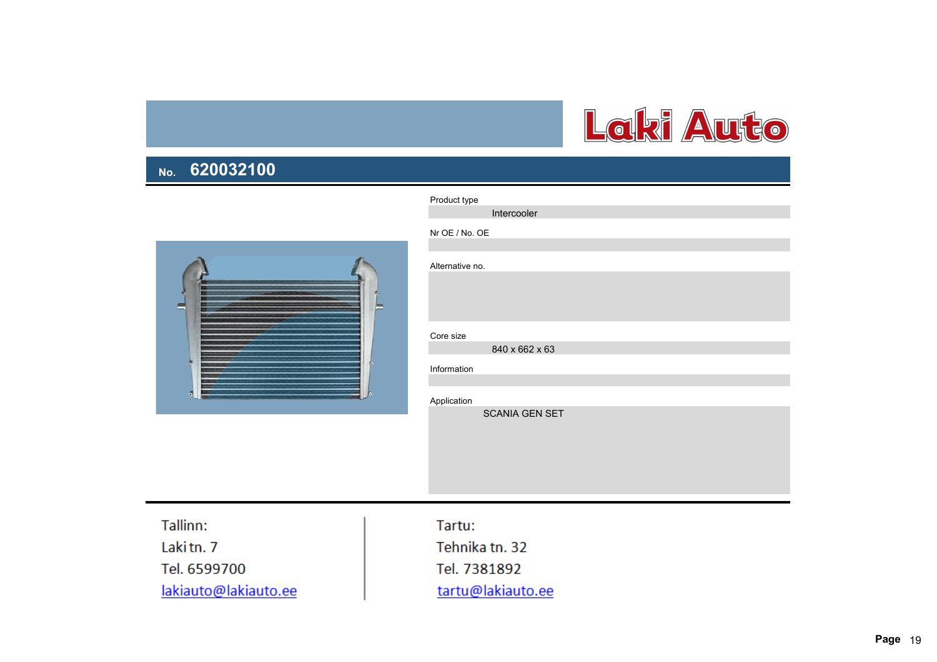